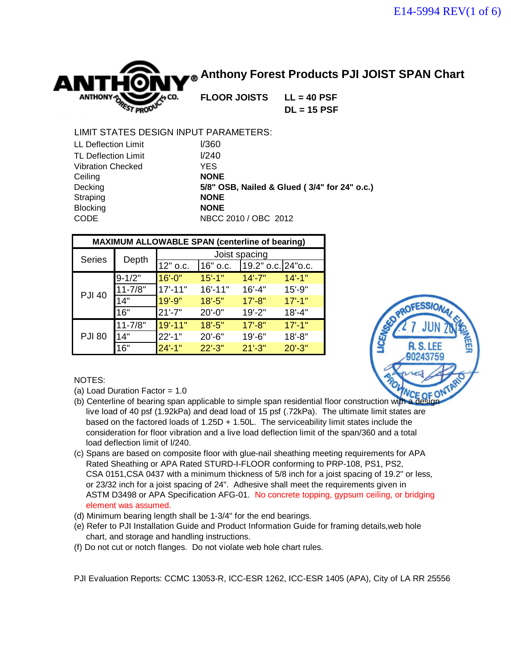

**FLOOR JOISTS LL = 40 PSF** 

**DL = 15 PSF**

## LIMIT STATES DESIGN INPUT PARAMETERS:

| <b>LL Deflection Limit</b> | I/360                                        |
|----------------------------|----------------------------------------------|
| <b>TL Deflection Limit</b> | I/240                                        |
| <b>Vibration Checked</b>   | YES.                                         |
| Ceiling                    | <b>NONE</b>                                  |
| Decking                    | 5/8" OSB, Nailed & Glued (3/4" for 24" o.c.) |
| Straping                   | <b>NONE</b>                                  |
| <b>Blocking</b>            | <b>NONE</b>                                  |
| <b>CODE</b>                | NBCC 2010 / OBC 2012                         |
|                            |                                              |

| <b>MAXIMUM ALLOWABLE SPAN (centerline of bearing)</b> |             |             |               |                     |            |  |
|-------------------------------------------------------|-------------|-------------|---------------|---------------------|------------|--|
| <b>Series</b>                                         |             |             | Joist spacing |                     |            |  |
|                                                       | Depth       | 12" o.c.    | $16"$ o.c.    | 19.2" o.c. 24" o.c. |            |  |
|                                                       | $9 - 1/2"$  | 16'-0"      | $15' - 1"$    | $14' - 7"$          | $14' - 1"$ |  |
|                                                       | $11 - 7/8"$ | $17' - 11"$ | $16' - 11"$   | $16' - 4"$          | $15' - 9"$ |  |
| <b>PJI 40</b>                                         | 14"         | $19' - 9"$  | $18' - 5"$    | $17' - 8"$          | $17' - 1"$ |  |
|                                                       | 16"         | $21' - 7"$  | $20' - 0''$   | $19' - 2"$          | $18' - 4"$ |  |
|                                                       | $11 - 7/8"$ | $19' - 11"$ | $18' - 5"$    | $17' - 8"$          | $17' - 1"$ |  |
| <b>PJI 80</b>                                         | 14"         | $22' - 1"$  | $20' - 6"$    | $19' - 6"$          | $18' - 8"$ |  |
|                                                       | 16"         | $24 - 1$    | $22' - 3"$    | $21' - 3"$          | $20' - 3"$ |  |



### NOTES:

- (a) Load Duration Factor = 1.0
- (b) Centerline of bearing span applicable to simple span residential floor construction with a live load of 40 psf (1.92kPa) and dead load of 15 psf (.72kPa). The ultimate limit states are based on the factored loads of  $1.25D + 1.50L$ . The serviceability limit states include the consideration for floor vibration and a live load deflection limit of the span/360 and a total load deflection limit of l/240.
- (c) Spans are based on composite floor with glue-nail sheathing meeting requirements for APA Rated Sheathing or APA Rated STURD-I-FLOOR conforming to PRP-108, PS1, PS2, CSA 0151,CSA 0437 with a minimum thickness of 5/8 inch for a joist spacing of 19.2" or less, or 23/32 inch for a joist spacing of 24". Adhesive shall meet the requirements given in ASTM D3498 or APA Specification AFG-01. No concrete topping, gypsum ceiling, or bridging element was assumed.
- (d) Minimum bearing length shall be 1-3/4" for the end bearings.
- (e) Refer to PJI Installation Guide and Product Information Guide for framing details,web hole chart, and storage and handling instructions.
- (f) Do not cut or notch flanges. Do not violate web hole chart rules.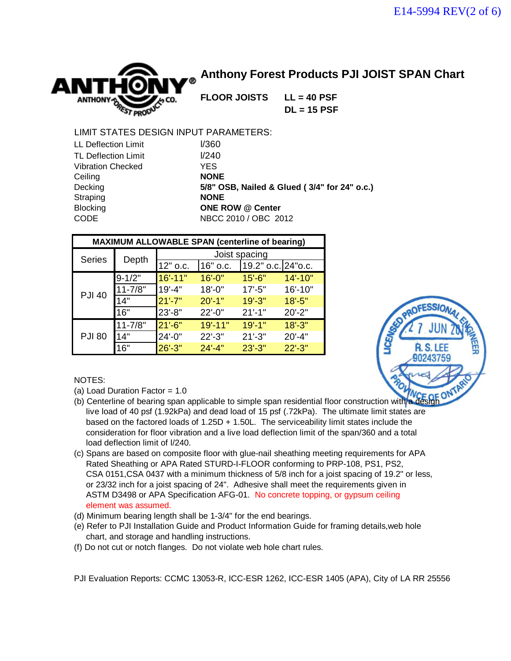

**FLOOR JOISTS LL = 40 PSF** 

**DL = 15 PSF**

### LIMIT STATES DESIGN INPUT PARAMETERS:

| <b>LL Deflection Limit</b> | I/360                                        |
|----------------------------|----------------------------------------------|
| <b>TL Deflection Limit</b> | 1/240                                        |
| <b>Vibration Checked</b>   | YES.                                         |
| Ceiling                    | <b>NONE</b>                                  |
| Decking                    | 5/8" OSB, Nailed & Glued (3/4" for 24" o.c.) |
| Straping                   | <b>NONE</b>                                  |
| <b>Blocking</b>            | <b>ONE ROW @ Center</b>                      |
| <b>CODE</b>                | NBCC 2010 / OBC 2012                         |

| <b>MAXIMUM ALLOWABLE SPAN (centerline of bearing)</b> |             |             |               |                     |              |  |
|-------------------------------------------------------|-------------|-------------|---------------|---------------------|--------------|--|
| <b>Series</b>                                         |             |             | Joist spacing |                     |              |  |
|                                                       | Depth       | $12"$ o.c.  | 16" o.c.      | 19.2" o.c. 24" o.c. |              |  |
|                                                       | $9 - 1/2"$  | $16' - 11"$ | $16' - 0"$    | $15 - 6"$           | $14' - 10''$ |  |
| <b>PJI 40</b>                                         | $11 - 7/8"$ | $19' - 4"$  | $18' - 0"$    | $17' - 5"$          | $16' - 10"$  |  |
|                                                       | 14"         | $21' - 7"$  | $20' - 1"$    | $19' - 3"$          | $18' - 5"$   |  |
|                                                       | 16"         | $23'-8$ "   | $22' - 0''$   | $21' - 1"$          | $20' - 2"$   |  |
|                                                       | $11 - 7/8"$ | $21'-6$ "   | $19' - 11"$   | $19' - 1"$          | $18' - 3"$   |  |
| <b>PJI 80</b>                                         | 14"         | $24' - 0''$ | $22'-3$ "     | $21' - 3"$          | $20' - 4"$   |  |
|                                                       | 16"         | $26' - 3"$  | $24' - 4"$    | $23' - 3''$         | $22' - 3"$   |  |



### NOTES:

- (a) Load Duration Factor = 1.0
- (b) Centerline of bearing span applicable to simple span residential floor construction with a design live load of 40 psf (1.92kPa) and dead load of 15 psf (.72kPa). The ultimate limit states are based on the factored loads of  $1.25D + 1.50L$ . The serviceability limit states include the consideration for floor vibration and a live load deflection limit of the span/360 and a total load deflection limit of l/240.
- (c) Spans are based on composite floor with glue-nail sheathing meeting requirements for APA Rated Sheathing or APA Rated STURD-I-FLOOR conforming to PRP-108, PS1, PS2, CSA 0151,CSA 0437 with a minimum thickness of 5/8 inch for a joist spacing of 19.2" or less, or 23/32 inch for a joist spacing of 24". Adhesive shall meet the requirements given in ASTM D3498 or APA Specification AFG-01. No concrete topping, or gypsum ceiling element was assumed.
- (d) Minimum bearing length shall be 1-3/4" for the end bearings.
- (e) Refer to PJI Installation Guide and Product Information Guide for framing details,web hole chart, and storage and handling instructions.
- (f) Do not cut or notch flanges. Do not violate web hole chart rules.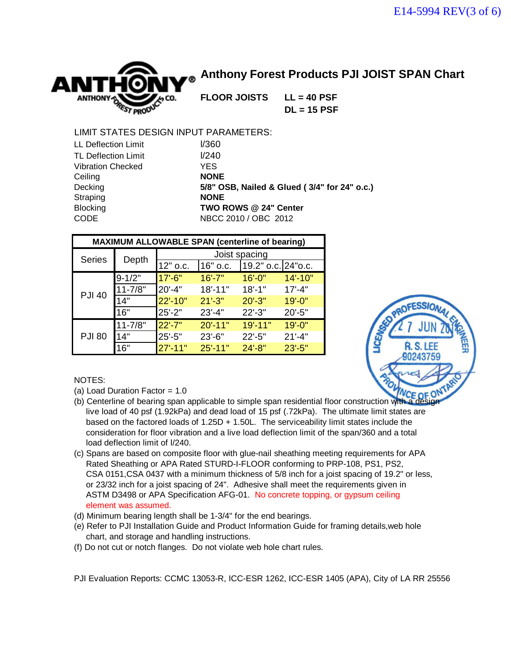

**FLOOR JOISTS LL = 40 PSF**

**DL = 15 PSF**

## LIMIT STATES DESIGN INPUT PARAMETERS:

| I/360                                        |
|----------------------------------------------|
| 1/240                                        |
| <b>YES</b>                                   |
| <b>NONE</b>                                  |
| 5/8" OSB, Nailed & Glued (3/4" for 24" o.c.) |
| <b>NONE</b>                                  |
| TWO ROWS @ 24" Center                        |
| NBCC 2010 / OBC 2012                         |
|                                              |

| <b>MAXIMUM ALLOWABLE SPAN (centerline of bearing)</b> |             |             |               |                     |             |  |
|-------------------------------------------------------|-------------|-------------|---------------|---------------------|-------------|--|
| <b>Series</b>                                         |             |             | Joist spacing |                     |             |  |
|                                                       | Depth       | 12" o.c.    | 16" o.c.      | 19.2" o.c. 24" o.c. |             |  |
|                                                       | $9 - 1/2"$  | $17' - 6"$  | $16' - 7"$    | $16' - 0"$          | $14' - 10"$ |  |
|                                                       | $11 - 7/8"$ | 20'-4"      | $18' - 11"$   | $18' - 1"$          | $17' - 4"$  |  |
| <b>PJI 40</b>                                         | 14"         | 22'-10"     | $21' - 3"$    | $20' - 3"$          | $19' - 0"$  |  |
|                                                       | 16"         | $25' - 2"$  | $23' - 4"$    | $22' - 3"$          | $20' - 5"$  |  |
|                                                       | $11 - 7/8"$ | $22' - 7"$  | $20' - 11"$   | $19' - 11"$         | $19' - 0"$  |  |
| <b>PJI 80</b>                                         | 14"         | 25'-5"      | $23'-6''$     | $22' - 5"$          | $21' - 4"$  |  |
|                                                       | 16"         | $27' - 11"$ | $25' - 11"$   | $24' - 8"$          | $23' - 5"$  |  |



### NOTES:

- (a) Load Duration Factor = 1.0
- (b) Centerline of bearing span applicable to simple span residential floor construction with a live load of 40 psf (1.92kPa) and dead load of 15 psf (.72kPa). The ultimate limit states are based on the factored loads of  $1.25D + 1.50L$ . The serviceability limit states include the consideration for floor vibration and a live load deflection limit of the span/360 and a total load deflection limit of l/240.
- (c) Spans are based on composite floor with glue-nail sheathing meeting requirements for APA Rated Sheathing or APA Rated STURD-I-FLOOR conforming to PRP-108, PS1, PS2, CSA 0151,CSA 0437 with a minimum thickness of 5/8 inch for a joist spacing of 19.2" or less, or 23/32 inch for a joist spacing of 24". Adhesive shall meet the requirements given in ASTM D3498 or APA Specification AFG-01. No concrete topping, or gypsum ceiling element was assumed.
- (d) Minimum bearing length shall be 1-3/4" for the end bearings.
- (e) Refer to PJI Installation Guide and Product Information Guide for framing details,web hole chart, and storage and handling instructions.
- (f) Do not cut or notch flanges. Do not violate web hole chart rules.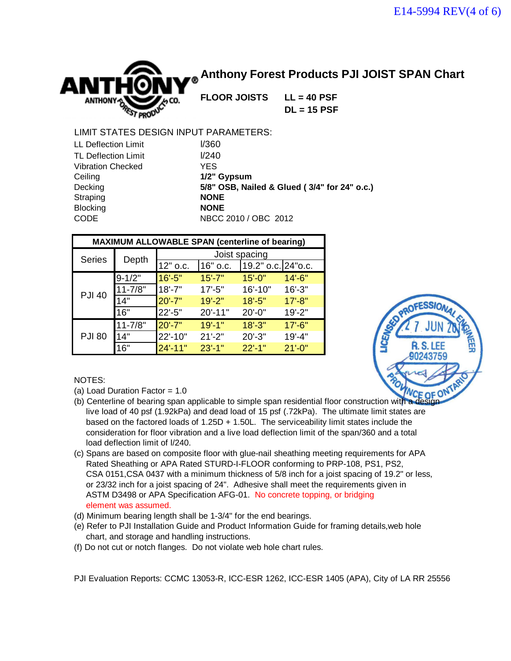

**FLOOR JOISTS LL = 40 PSF** 

**DL = 15 PSF** 

## LIMIT STATES DESIGN INPUT PARAMETERS:

| LL Deflection Limit        | I/360                                        |
|----------------------------|----------------------------------------------|
| <b>TL Deflection Limit</b> | 1/240                                        |
| <b>Vibration Checked</b>   | YES                                          |
| Ceiling                    | 1/2" Gypsum                                  |
| Decking                    | 5/8" OSB, Nailed & Glued (3/4" for 24" o.c.) |
| Straping                   | <b>NONE</b>                                  |
| <b>Blocking</b>            | <b>NONE</b>                                  |
| <b>CODE</b>                | NBCC 2010 / OBC 2012                         |

| <b>MAXIMUM ALLOWABLE SPAN (centerline of bearing)</b> |             |             |               |                     |            |  |
|-------------------------------------------------------|-------------|-------------|---------------|---------------------|------------|--|
| <b>Series</b>                                         |             |             | Joist spacing |                     |            |  |
|                                                       | Depth       | $12"$ o.c.  | 16" o.c.      | 19.2" o.c. 24" o.c. |            |  |
|                                                       | $9 - 1/2"$  | $16' - 5"$  | $15' - 7"$    | $15 - 0$ "          | $14' - 6"$ |  |
|                                                       | $11 - 7/8"$ | $18' - 7"$  | $17' - 5"$    | $16' - 10"$         | $16' - 3"$ |  |
| <b>PJI 40</b>                                         | 14"         | $20' - 7"$  | $19' - 2"$    | $18' - 5"$          | $17' - 8"$ |  |
|                                                       | 16"         | $22 - 5"$   | $20' - 11"$   | $20' - 0''$         | $19' - 2"$ |  |
|                                                       | 11-7/8"     | $20' - 7"$  | $19' - 1"$    | $18' - 3"$          | $17' - 6"$ |  |
| <b>PJI 80</b>                                         | 14"         | 22'-10"     | $21' - 2"$    | $20' - 3"$          | $19' - 4"$ |  |
|                                                       | 16"         | $24' - 11"$ | $23' - 1$     | $22 - 1"$           | $21'-0$ "  |  |



### NOTES:

- (a) Load Duration Factor = 1.0
- (b) Centerline of bearing span applicable to simple span residential floor construction with a live load of 40 psf (1.92kPa) and dead load of 15 psf (.72kPa). The ultimate limit states are based on the factored loads of  $1.25D + 1.50L$ . The serviceability limit states include the consideration for floor vibration and a live load deflection limit of the span/360 and a total load deflection limit of l/240.
- (c) Spans are based on composite floor with glue-nail sheathing meeting requirements for APA Rated Sheathing or APA Rated STURD-I-FLOOR conforming to PRP-108, PS1, PS2, CSA 0151,CSA 0437 with a minimum thickness of 5/8 inch for a joist spacing of 19.2" or less, or 23/32 inch for a joist spacing of 24". Adhesive shall meet the requirements given in ASTM D3498 or APA Specification AFG-01. No concrete topping, or bridging element was assumed.
- (d) Minimum bearing length shall be 1-3/4" for the end bearings.
- (e) Refer to PJI Installation Guide and Product Information Guide for framing details,web hole chart, and storage and handling instructions.
- (f) Do not cut or notch flanges. Do not violate web hole chart rules.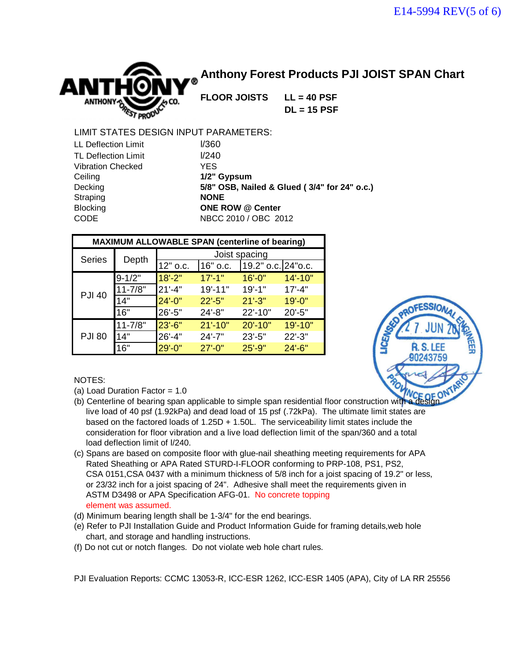

**FLOOR JOISTS LL = 40 PSF** 

**DL = 15 PSF** 

## LIMIT STATES DESIGN INPUT PARAMETERS:

| I/360                                        |
|----------------------------------------------|
| I/240                                        |
| <b>YES</b>                                   |
| 1/2" Gypsum                                  |
| 5/8" OSB, Nailed & Glued (3/4" for 24" o.c.) |
| <b>NONE</b>                                  |
| <b>ONE ROW @ Center</b>                      |
| NBCC 2010 / OBC 2012                         |
|                                              |

| <b>MAXIMUM ALLOWABLE SPAN (centerline of bearing)</b> |             |             |               |                     |             |  |
|-------------------------------------------------------|-------------|-------------|---------------|---------------------|-------------|--|
| <b>Series</b>                                         |             |             | Joist spacing |                     |             |  |
|                                                       | Depth       | 12" o.c.    | 16" o.c.      | 19.2" o.c. 24" o.c. |             |  |
|                                                       | $9 - 1/2"$  | $18 - 2"$   | $17' - 1"$    | $16' - 0''$         | $14' - 10"$ |  |
|                                                       | $11 - 7/8"$ | $21'-4"$    | $19' - 11"$   | $19' - 1"$          | $17' - 4"$  |  |
| <b>PJI 40</b>                                         | 14"         | $24' - 0''$ | $22' - 5"$    | $21' - 3"$          | $19' - 0"$  |  |
|                                                       | 16"         | 26'-5"      | $24' - 8"$    | $22' - 10"$         | $20' - 5"$  |  |
|                                                       | $11 - 7/8"$ | 23'-6"      | $21' - 10"$   | $20' - 10"$         | 19'-10"     |  |
| <b>PJI 80</b>                                         | 14"         | 26'-4"      | $24' - 7"$    | $23' - 5"$          | $22' - 3"$  |  |
|                                                       | 16"         | $29' - 0"$  | $27' - 0''$   | $25' - 9"$          | $24 - 6"$   |  |



### NOTES:

- (a) Load Duration Factor = 1.0
- (b) Centerline of bearing span applicable to simple span residential floor construction with a live load of 40 psf (1.92kPa) and dead load of 15 psf (.72kPa). The ultimate limit states are based on the factored loads of  $1.25D + 1.50L$ . The serviceability limit states include the consideration for floor vibration and a live load deflection limit of the span/360 and a total load deflection limit of l/240.
- (c) Spans are based on composite floor with glue-nail sheathing meeting requirements for APA Rated Sheathing or APA Rated STURD-I-FLOOR conforming to PRP-108, PS1, PS2, CSA 0151,CSA 0437 with a minimum thickness of 5/8 inch for a joist spacing of 19.2" or less, or 23/32 inch for a joist spacing of 24". Adhesive shall meet the requirements given in ASTM D3498 or APA Specification AFG-01. No concrete topping element was assumed.
- (d) Minimum bearing length shall be 1-3/4" for the end bearings.
- (e) Refer to PJI Installation Guide and Product Information Guide for framing details,web hole chart, and storage and handling instructions.
- (f) Do not cut or notch flanges. Do not violate web hole chart rules.